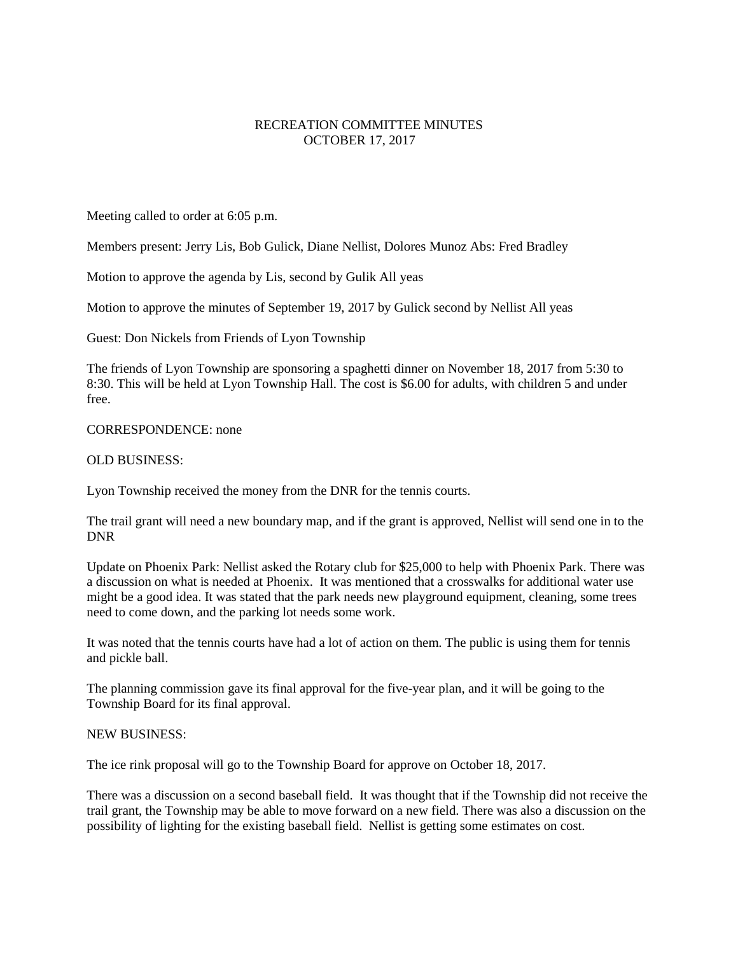## RECREATION COMMITTEE MINUTES OCTOBER 17, 2017

Meeting called to order at 6:05 p.m.

Members present: Jerry Lis, Bob Gulick, Diane Nellist, Dolores Munoz Abs: Fred Bradley

Motion to approve the agenda by Lis, second by Gulik All yeas

Motion to approve the minutes of September 19, 2017 by Gulick second by Nellist All yeas

Guest: Don Nickels from Friends of Lyon Township

The friends of Lyon Township are sponsoring a spaghetti dinner on November 18, 2017 from 5:30 to 8:30. This will be held at Lyon Township Hall. The cost is \$6.00 for adults, with children 5 and under free.

## CORRESPONDENCE: none

## OLD BUSINESS:

Lyon Township received the money from the DNR for the tennis courts.

The trail grant will need a new boundary map, and if the grant is approved, Nellist will send one in to the DNR

Update on Phoenix Park: Nellist asked the Rotary club for \$25,000 to help with Phoenix Park. There was a discussion on what is needed at Phoenix. It was mentioned that a crosswalks for additional water use might be a good idea. It was stated that the park needs new playground equipment, cleaning, some trees need to come down, and the parking lot needs some work.

It was noted that the tennis courts have had a lot of action on them. The public is using them for tennis and pickle ball.

The planning commission gave its final approval for the five-year plan, and it will be going to the Township Board for its final approval.

## NEW BUSINESS:

The ice rink proposal will go to the Township Board for approve on October 18, 2017.

There was a discussion on a second baseball field. It was thought that if the Township did not receive the trail grant, the Township may be able to move forward on a new field. There was also a discussion on the possibility of lighting for the existing baseball field. Nellist is getting some estimates on cost.